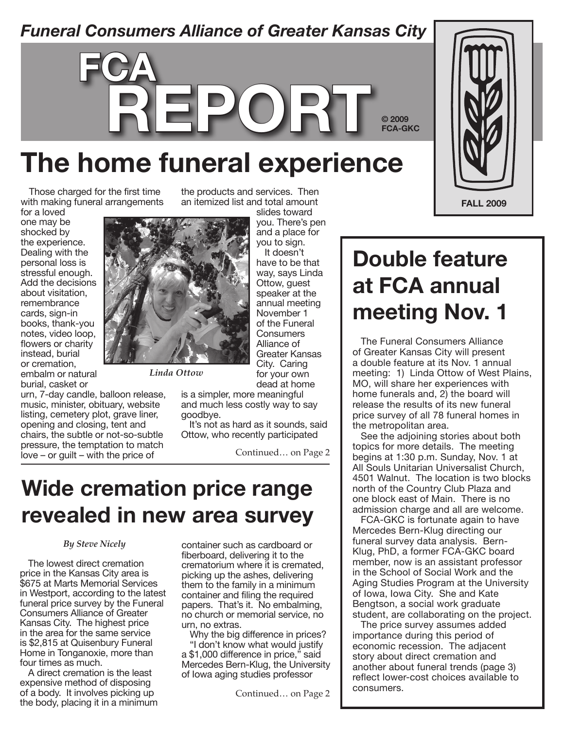### *Funeral Consumers Alliance of Greater Kansas City*

# **The home funeral experience**

Those charged for the first time with making funeral arrangements

**fca**

for a loved one may be shocked by the experience. Dealing with the personal loss is stressful enough. Add the decisions about visitation, remembrance cards, sign-in books, thank-you notes, video loop, flowers or charity instead, burial or cremation, embalm or natural

burial, casket or urn, 7-day candle, balloon release, music, minister, obituary, website

listing, cemetery plot, grave liner, opening and closing, tent and chairs, the subtle or not-so-subtle pressure, the temptation to match love – or guilt – with the price of

the products and services. Then an itemized list and total amount

**report**



*Linda Ottow*

slides toward you. There's pen and a place for you to sign. It doesn't have to be that way, says Linda Ottow, guest speaker at the annual meeting November 1 of the Funeral **Consumers** Alliance of Greater Kansas City. Caring for your own dead at home

is a simpler, more meaningful and much less costly way to say goodbye.

It's not as hard as it sounds, said Ottow, who recently participated

Continued… on Page 2

### **Wide cremation price range revealed in new area survey**

#### *By Steve Nicely*

The lowest direct cremation price in the Kansas City area is \$675 at Marts Memorial Services in Westport, according to the latest funeral price survey by the Funeral Consumers Alliance of Greater Kansas City. The highest price in the area for the same service is \$2,815 at Quisenbury Funeral Home in Tonganoxie, more than four times as much.

A direct cremation is the least expensive method of disposing of a body. It involves picking up the body, placing it in a minimum container such as cardboard or fiberboard, delivering it to the crematorium where it is cremated, picking up the ashes, delivering them to the family in a minimum container and filing the required papers. That's it. No embalming, no church or memorial service, no urn, no extras.

Why the big difference in prices? "I don't know what would justify a \$1,000 difference in price," said Mercedes Bern-Klug, the University of Iowa aging studies professor

Continued… on Page 2



**© 2009 FCA-GKC**

The Funeral Consumers Alliance of Greater Kansas City will present a double feature at its Nov. 1 annual meeting: 1) Linda Ottow of West Plains, MO, will share her experiences with home funerals and, 2) the board will release the results of its new funeral price survey of all 78 funeral homes in the metropolitan area.

See the adjoining stories about both topics for more details. The meeting begins at 1:30 p.m. Sunday, Nov. 1 at All Souls Unitarian Universalist Church, 4501 Walnut. The location is two blocks north of the Country Club Plaza and one block east of Main. There is no admission charge and all are welcome.

FCA-GKC is fortunate again to have Mercedes Bern-Klug directing our funeral survey data analysis. Bern-Klug, PhD, a former FCA-GKC board member, now is an assistant professor in the School of Social Work and the Aging Studies Program at the University of Iowa, Iowa City. She and Kate Bengtson, a social work graduate student, are collaborating on the project.

The price survey assumes added importance during this period of economic recession. The adjacent story about direct cremation and another about funeral trends (page 3) reflect lower-cost choices available to consumers.

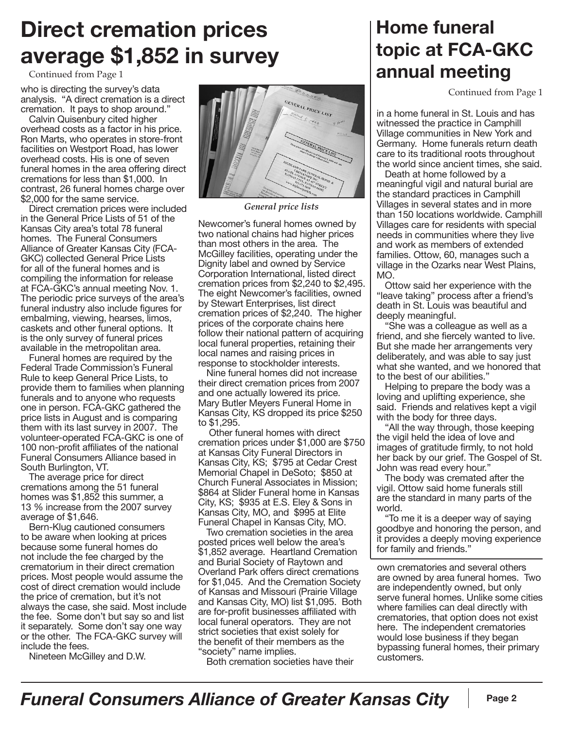## **Direct cremation prices average \$1,852 in survey**

Continued from Page 1

who is directing the survey's data analysis. "A direct cremation is a direct cremation. It pays to shop around."

Calvin Quisenbury cited higher overhead costs as a factor in his price. Ron Marts, who operates in store-front facilities on Westport Road, has lower overhead costs. His is one of seven funeral homes in the area offering direct cremations for less than \$1,000. In contrast, 26 funeral homes charge over \$2,000 for the same service.

Direct cremation prices were included in the General Price Lists of 51 of the Kansas City area's total 78 funeral homes. The Funeral Consumers Alliance of Greater Kansas City (FCA-GKC) collected General Price Lists for all of the funeral homes and is compiling the information for release at FCA-GKC's annual meeting Nov. 1. The periodic price surveys of the area's funeral industry also include figures for embalming, viewing, hearses, limos, caskets and other funeral options. It is the only survey of funeral prices available in the metropolitan area.

Funeral homes are required by the Federal Trade Commission's Funeral Rule to keep General Price Lists, to provide them to families when planning funerals and to anyone who requests one in person. FCA-GKC gathered the price lists in August and is comparing them with its last survey in 2007. The volunteer-operated FCA-GKC is one of 100 non-profit affiliates of the national Funeral Consumers Alliance based in South Burlington, VT.

The average price for direct cremations among the 51 funeral homes was \$1,852 this summer, a 13 % increase from the 2007 survey average of \$1,646.

Bern-Klug cautioned consumers to be aware when looking at prices because some funeral homes do not include the fee charged by the crematorium in their direct cremation prices. Most people would assume the cost of direct cremation would include the price of cremation, but it's not always the case, she said. Most include the fee. Some don't but say so and list it separately. Some don't say one way or the other. The FCA-GKC survey will include the fees.

Nineteen McGilley and D.W.



*General price lists*

Newcomer's funeral homes owned by two national chains had higher prices than most others in the area. The McGilley facilities, operating under the Dignity label and owned by Service Corporation International, listed direct cremation prices from \$2,240 to \$2,495. The eight Newcomer's facilities, owned by Stewart Enterprises, list direct cremation prices of \$2,240. The higher prices of the corporate chains here follow their national pattern of acquiring local funeral properties, retaining their local names and raising prices in response to stockholder interests.

Nine funeral homes did not increase their direct cremation prices from 2007 and one actually lowered its price. Mary Butler Meyers Funeral Home in Kansas City, KS dropped its price \$250 to \$1,295.

 Other funeral homes with direct cremation prices under \$1,000 are \$750 at Kansas City Funeral Directors in Kansas City, KS; \$795 at Cedar Crest Memorial Chapel in DeSoto; \$850 at Church Funeral Associates in Mission; \$864 at Slider Funeral home in Kansas City, KS; \$935 at E.S. Eley & Sons in Kansas City, MO, and \$995 at Elite Funeral Chapel in Kansas City, MO.

Two cremation societies in the area posted prices well below the area's \$1,852 average. Heartland Cremation and Burial Society of Raytown and Overland Park offers direct cremations for \$1,045. And the Cremation Society of Kansas and Missouri (Prairie Village and Kansas City, MO) list \$1,095. Both are for-profit businesses affiliated with local funeral operators. They are not strict societies that exist solely for the benefit of their members as the "society" name implies.

Both cremation societies have their

### **Home funeral topic at FCA-GKC annual meeting**

Continued from Page 1

in a home funeral in St. Louis and has witnessed the practice in Camphill Village communities in New York and Germany. Home funerals return death care to its traditional roots throughout the world since ancient times, she said.

Death at home followed by a meaningful vigil and natural burial are the standard practices in Camphill Villages in several states and in more than 150 locations worldwide. Camphill Villages care for residents with special needs in communities where they live and work as members of extended families. Ottow, 60, manages such a village in the Ozarks near West Plains, MO.

Ottow said her experience with the "leave taking" process after a friend's death in St. Louis was beautiful and deeply meaningful.

"She was a colleague as well as a friend, and she fiercely wanted to live. But she made her arrangements very deliberately, and was able to say just what she wanted, and we honored that to the best of our abilities."

Helping to prepare the body was a loving and uplifting experience, she said. Friends and relatives kept a vigil with the body for three days.

"All the way through, those keeping the vigil held the idea of love and images of gratitude firmly, to not hold her back by our grief. The Gospel of St. John was read every hour."

The body was cremated after the vigil. Ottow said home funerals still are the standard in many parts of the world.

"To me it is a deeper way of saying goodbye and honoring the person, and it provides a deeply moving experience for family and friends."

own crematories and several others are owned by area funeral homes. Two are independently owned, but only serve funeral homes. Unlike some cities where families can deal directly with crematories, that option does not exist here. The independent crematories would lose business if they began bypassing funeral homes, their primary customers.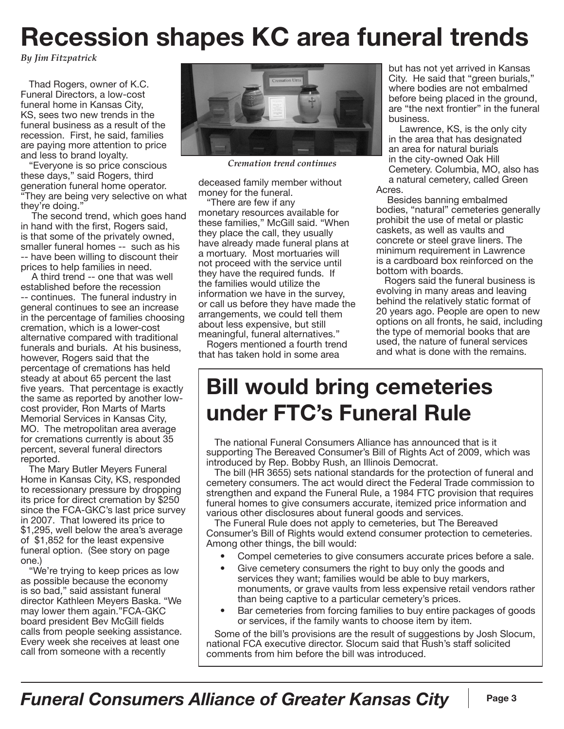# **Recession shapes KC area funeral trends**

*By Jim Fitzpatrick*

Thad Rogers, owner of K.C. Funeral Directors, a low-cost funeral home in Kansas City, KS, sees two new trends in the funeral business as a result of the recession. First, he said, families are paying more attention to price and less to brand loyalty.

"Everyone is so price conscious these days," said Rogers, third generation funeral home operator. "They are being very selective on what they're doing."

The second trend, which goes hand in hand with the first, Rogers said, is that some of the privately owned, smaller funeral homes -- such as his -- have been willing to discount their prices to help families in need.

A third trend -- one that was well established before the recession -- continues. The funeral industry in general continues to see an increase in the percentage of families choosing cremation, which is a lower-cost alternative compared with traditional funerals and burials. At his business, however, Rogers said that the percentage of cremations has held steady at about 65 percent the last five years. That percentage is exactly the same as reported by another lowcost provider, Ron Marts of Marts Memorial Services in Kansas City, MO. The metropolitan area average for cremations currently is about 35 percent, several funeral directors reported.

The Mary Butler Meyers Funeral Home in Kansas City, KS, responded to recessionary pressure by dropping its price for direct cremation by \$250 since the FCA-GKC's last price survey in 2007. That lowered its price to \$1,295, well below the area's average of \$1,852 for the least expensive funeral option. (See story on page one.)

"We're trying to keep prices as low as possible because the economy is so bad," said assistant funeral director Kathleen Meyers Baska. "We may lower them again."FCA-GKC board president Bev McGill fields calls from people seeking assistance. Every week she receives at least one call from someone with a recently



*Cremation trend continues*

deceased family member without money for the funeral.

"There are few if any monetary resources available for these families," McGill said. "When they place the call, they usually have already made funeral plans at a mortuary. Most mortuaries will not proceed with the service until they have the required funds. If the families would utilize the information we have in the survey, or call us before they have made the arrangements, we could tell them about less expensive, but still meaningful, funeral alternatives."

Rogers mentioned a fourth trend that has taken hold in some area

but has not yet arrived in Kansas City. He said that "green burials," where bodies are not embalmed before being placed in the ground, are "the next frontier" in the funeral business.

Lawrence, KS, is the only city in the area that has designated an area for natural burials in the city-owned Oak Hill Cemetery. Columbia, MO, also has a natural cemetery, called Green Acres.

Besides banning embalmed bodies, "natural" cemeteries generally prohibit the use of metal or plastic caskets, as well as vaults and concrete or steel grave liners. The minimum requirement in Lawrence is a cardboard box reinforced on the bottom with boards.

Rogers said the funeral business is evolving in many areas and leaving behind the relatively static format of 20 years ago. People are open to new options on all fronts, he said, including the type of memorial books that are used, the nature of funeral services and what is done with the remains.

## **Bill would bring cemeteries under FTC's Funeral Rule**

The national Funeral Consumers Alliance has announced that is it supporting The Bereaved Consumer's Bill of Rights Act of 2009, which was introduced by Rep. Bobby Rush, an Illinois Democrat.

The bill (HR 3655) sets national standards for the protection of funeral and cemetery consumers. The act would direct the Federal Trade commission to strengthen and expand the Funeral Rule, a 1984 FTC provision that requires funeral homes to give consumers accurate, itemized price information and various other disclosures about funeral goods and services.

The Funeral Rule does not apply to cemeteries, but The Bereaved Consumer's Bill of Rights would extend consumer protection to cemeteries. Among other things, the bill would:

- Compel cemeteries to give consumers accurate prices before a sale.
- Give cemetery consumers the right to buy only the goods and services they want; families would be able to buy markers, monuments, or grave vaults from less expensive retail vendors rather than being captive to a particular cemetery's prices.
- Bar cemeteries from forcing families to buy entire packages of goods or services, if the family wants to choose item by item.

Some of the bill's provisions are the result of suggestions by Josh Slocum, national FCA executive director. Slocum said that Rush's staff solicited comments from him before the bill was introduced.